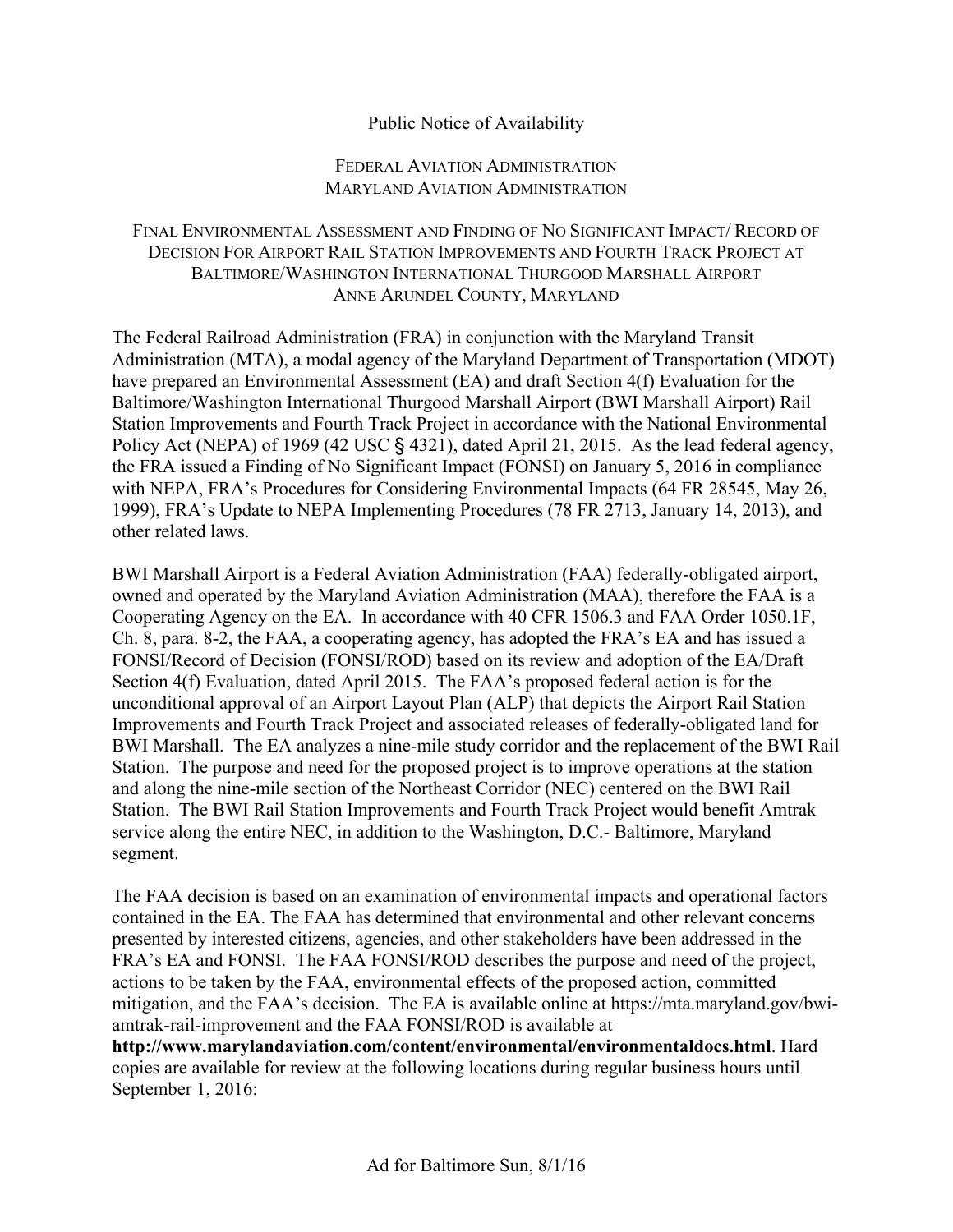## Public Notice of Availability

## FEDERAL AVIATION ADMINISTRATION MARYLAND AVIATION ADMINISTRATION

## FINAL ENVIRONMENTAL ASSESSMENT AND FINDING OF NO SIGNIFICANT IMPACT/ RECORD OF DECISION FOR AIRPORT RAIL STATION IMPROVEMENTS AND FOURTH TRACK PROJECT AT BALTIMORE/WASHINGTON INTERNATIONAL THURGOOD MARSHALL AIRPORT ANNE ARUNDEL COUNTY, MARYLAND

The Federal Railroad Administration (FRA) in conjunction with the Maryland Transit Administration (MTA), a modal agency of the Maryland Department of Transportation (MDOT) have prepared an Environmental Assessment (EA) and draft Section 4(f) Evaluation for the Baltimore/Washington International Thurgood Marshall Airport (BWI Marshall Airport) Rail Station Improvements and Fourth Track Project in accordance with the National Environmental Policy Act (NEPA) of 1969 (42 USC § 4321), dated April 21, 2015. As the lead federal agency, the FRA issued a Finding of No Significant Impact (FONSI) on January 5, 2016 in compliance with NEPA, FRA's Procedures for Considering Environmental Impacts (64 FR 28545, May 26, 1999), FRA's Update to NEPA Implementing Procedures (78 FR 2713, January 14, 2013), and other related laws.

BWI Marshall Airport is a Federal Aviation Administration (FAA) federally-obligated airport, owned and operated by the Maryland Aviation Administration (MAA), therefore the FAA is a Cooperating Agency on the EA. In accordance with 40 CFR 1506.3 and FAA Order 1050.1F, Ch. 8, para. 8-2, the FAA, a cooperating agency, has adopted the FRA's EA and has issued a FONSI/Record of Decision (FONSI/ROD) based on its review and adoption of the EA/Draft Section 4(f) Evaluation, dated April 2015. The FAA's proposed federal action is for the unconditional approval of an Airport Layout Plan (ALP) that depicts the Airport Rail Station Improvements and Fourth Track Project and associated releases of federally-obligated land for BWI Marshall. The EA analyzes a nine-mile study corridor and the replacement of the BWI Rail Station. The purpose and need for the proposed project is to improve operations at the station and along the nine-mile section of the Northeast Corridor (NEC) centered on the BWI Rail Station. The BWI Rail Station Improvements and Fourth Track Project would benefit Amtrak service along the entire NEC, in addition to the Washington, D.C.- Baltimore, Maryland segment.

The FAA decision is based on an examination of environmental impacts and operational factors contained in the EA. The FAA has determined that environmental and other relevant concerns presented by interested citizens, agencies, and other stakeholders have been addressed in the FRA's EA and FONSI. The FAA FONSI/ROD describes the purpose and need of the project, actions to be taken by the FAA, environmental effects of the proposed action, committed mitigation, and the FAA's decision. The EA is available online at [https://mta.maryland.gov/bwi](https://mta.maryland.gov/bwi-amtrak-rail-improvement)[amtrak-rail-improvement](https://mta.maryland.gov/bwi-amtrak-rail-improvement) and the FAA FONSI/ROD is available at **<http://www.marylandaviation.com/content/environmental/environmentaldocs.html>**. Hard copies are available for review at the following locations during regular business hours until September 1, 2016: